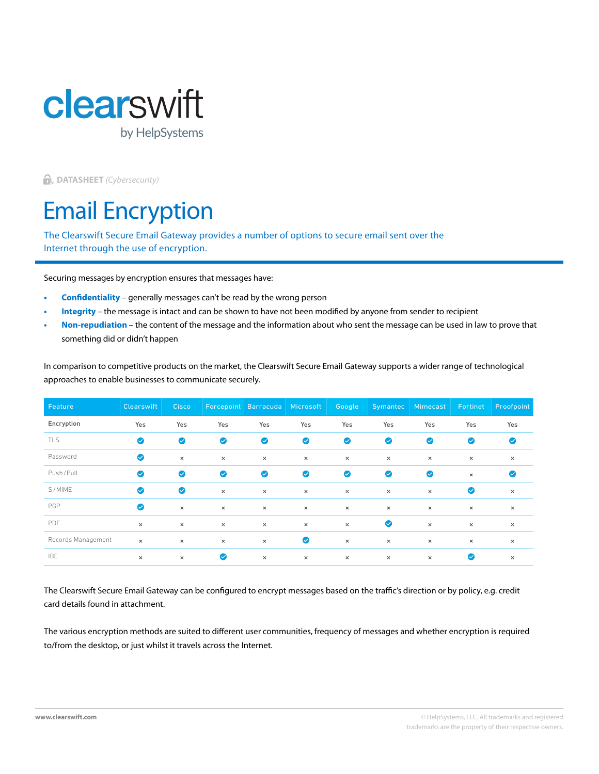

**DATASHEET** *(Cybersecurity)*

# Email Encryption

The Clearswift Secure Email Gateway provides a number of options to secure email sent over the Internet through the use of encryption.

Securing messages by encryption ensures that messages have:

- **• Confidentiality** generally messages can't be read by the wrong person
- **• Integrity** the message is intact and can be shown to have not been modified by anyone from sender to recipient
- **• Non-repudiation** the content of the message and the information about who sent the message can be used in law to prove that something did or didn't happen

In comparison to competitive products on the market, the Clearswift Secure Email Gateway supports a wider range of technological approaches to enable businesses to communicate securely.

| Feature            | Clearswift | Cisco,    |           | Forcepoint Barracuda Microsoft |           | Google    |           | Symantec Mimecast | Fortinet  | <b>Proofpoint</b> |
|--------------------|------------|-----------|-----------|--------------------------------|-----------|-----------|-----------|-------------------|-----------|-------------------|
| Encryption         | Yes        | Yes       | Yes       | Yes                            | Yes       | Yes       | Yes       | Yes               | Yes       | Yes               |
| TLS                | $\bullet$  | $\bullet$ | $\bullet$ | $\bullet$                      | $\bullet$ | $\bullet$ | ◙         | $\bullet$         | $\bullet$ | $\bullet$         |
| Password           | $\bullet$  | $\times$  | $\times$  | $\times$                       | $\times$  | $\times$  | $\times$  | $\times$          | $\times$  | $\times$          |
| Push/Pull          | $\bullet$  | $\bullet$ | $\bullet$ | $\bullet$                      | $\bullet$ | $\bullet$ | $\bullet$ | $\bullet$         | $\times$  | $\bullet$         |
| S/MIME             | $\bullet$  | $\bullet$ | $\times$  | $\times$                       | $\times$  | $\times$  | $\times$  | $\times$          | $\bullet$ | $\times$          |
| PGP                | $\bullet$  | $\times$  | $\times$  | $\times$                       | $\times$  | $\times$  | $\times$  | $\times$          | $\times$  | $\times$          |
| PDF                | $\times$   | $\times$  | $\times$  | $\times$                       | $\times$  | $\times$  | $\bullet$ | $\times$          | $\times$  | $\times$          |
| Records Management | $\times$   | $\times$  | $\times$  | $\times$                       | $\bullet$ | $\times$  | $\times$  | $\times$          | $\times$  | $\times$          |
| <b>IBE</b>         | $\times$   | $\times$  | $\bullet$ | $\times$                       | $\times$  | $\times$  | $\times$  | $\times$          | $\bullet$ | $\times$          |

The Clearswift Secure Email Gateway can be configured to encrypt messages based on the traffic's direction or by policy, e.g. credit card details found in attachment.

The various encryption methods are suited to different user communities, frequency of messages and whether encryption is required to/from the desktop, or just whilst it travels across the Internet.